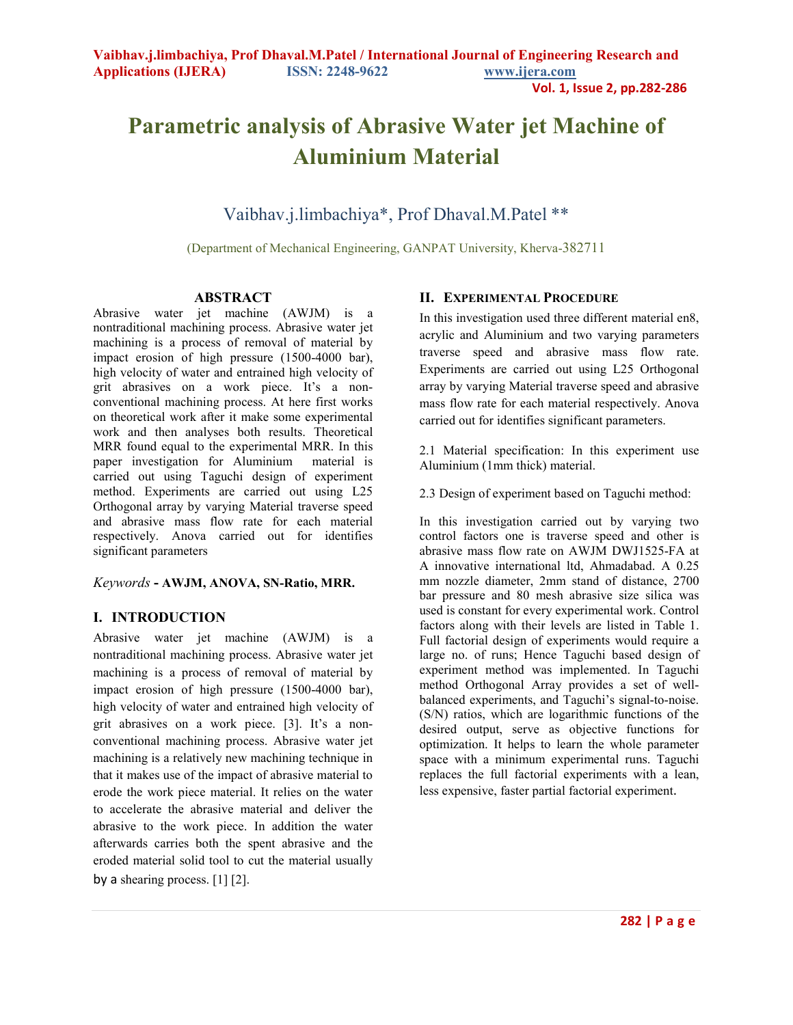# **Parametric analysis of Abrasive Water jet Machine of Aluminium Material**

Vaibhav.j.limbachiya\*, Prof Dhaval.M.Patel \*\*

(Department of Mechanical Engineering, GANPAT University, Kherva-382711

#### **ABSTRACT**

Abrasive water jet machine (AWJM) is a nontraditional machining process. Abrasive water jet machining is a process of removal of material by impact erosion of high pressure (1500-4000 bar), high velocity of water and entrained high velocity of grit abrasives on a work piece. It's a nonconventional machining process. At here first works on theoretical work after it make some experimental work and then analyses both results. Theoretical MRR found equal to the experimental MRR. In this paper investigation for Aluminium material is carried out using Taguchi design of experiment method. Experiments are carried out using L25 Orthogonal array by varying Material traverse speed and abrasive mass flow rate for each material respectively. Anova carried out for identifies significant parameters

#### *Keywords* **- AWJM, ANOVA, SN-Ratio, MRR.**

#### **I. INTRODUCTION**

Abrasive water jet machine (AWJM) is a nontraditional machining process. Abrasive water jet machining is a process of removal of material by impact erosion of high pressure (1500-4000 bar), high velocity of water and entrained high velocity of grit abrasives on a work piece. [3]. It's a nonconventional machining process. Abrasive water jet machining is a relatively new machining technique in that it makes use of the impact of abrasive material to erode the work piece material. It relies on the water to accelerate the abrasive material and deliver the abrasive to the work piece. In addition the water afterwards carries both the spent abrasive and the eroded material solid tool to cut the material usually by a shearing process. [1] [2].

#### **II. EXPERIMENTAL PROCEDURE**

In this investigation used three different material en8, acrylic and Aluminium and two varying parameters traverse speed and abrasive mass flow rate. Experiments are carried out using L25 Orthogonal array by varying Material traverse speed and abrasive mass flow rate for each material respectively. Anova carried out for identifies significant parameters.

2.1 Material specification: In this experiment use Aluminium (1mm thick) material.

2.3 Design of experiment based on Taguchi method:

In this investigation carried out by varying two control factors one is traverse speed and other is abrasive mass flow rate on AWJM DWJ1525-FA at A innovative international ltd, Ahmadabad. A 0.25 mm nozzle diameter, 2mm stand of distance, 2700 bar pressure and 80 mesh abrasive size silica was used is constant for every experimental work. Control factors along with their levels are listed in Table 1. Full factorial design of experiments would require a large no. of runs; Hence Taguchi based design of experiment method was implemented. In Taguchi method Orthogonal Array provides a set of wellbalanced experiments, and Taguchi's signal-to-noise. (S/N) ratios, which are logarithmic functions of the desired output, serve as objective functions for optimization. It helps to learn the whole parameter space with a minimum experimental runs. Taguchi replaces the full factorial experiments with a lean, less expensive, faster partial factorial experiment.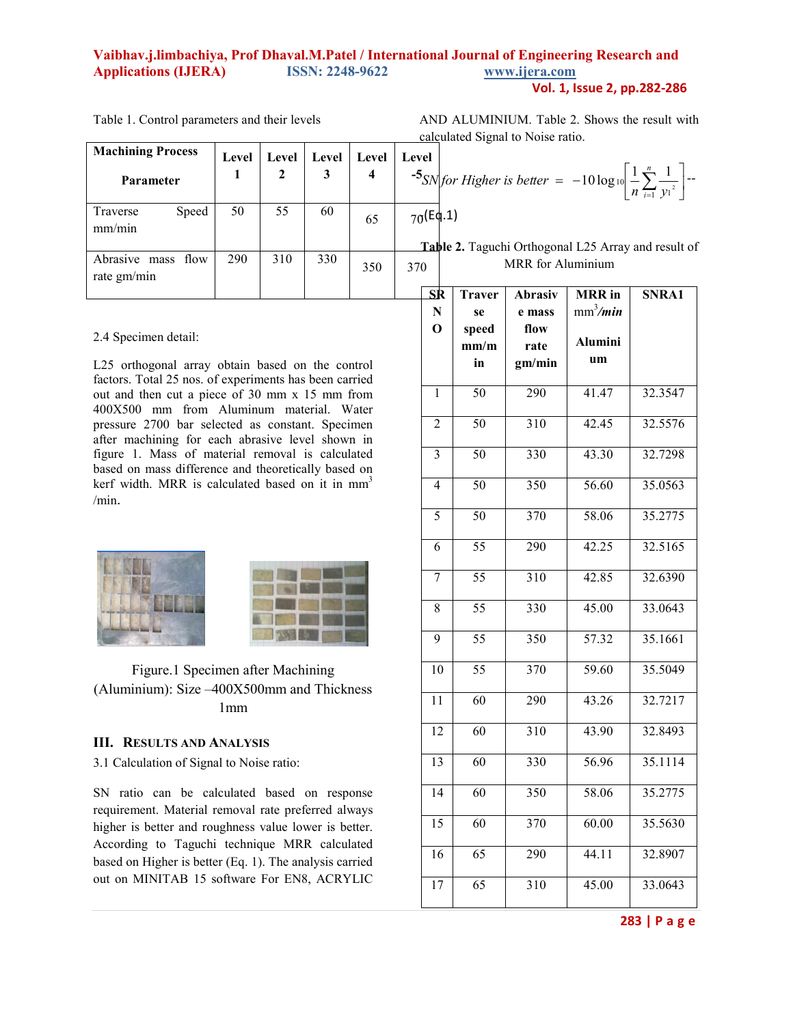#### **Vaibhav.j.limbachiya, Prof Dhaval.M.Patel / International Journal of Engineering Research and Applications (IJERA) ISSN: 2248-9622 www.ijera.com Vol. 1, Issue 2, pp.282-286**

| <b>Machining Process</b><br>Parameter | Level | Level<br>$\boldsymbol{2}$ | Level<br>3 | Level | Level         |
|---------------------------------------|-------|---------------------------|------------|-------|---------------|
| Speed<br>Traverse<br>mm/min           | 50    | 55                        | 60         | 65    | $70($ E<br>т, |
| Abrasive mass flow<br>rate gm/min     | 290   | 310                       | 330        | 350   | 370           |

Table 1. Control parameters and their levels

AND ALUMINIUM. Table 2. Shows the result with calculated Signal to Noise ratio.

$$
\sum_{i=1}^{5} SN \text{ for Higher is better } = -10 \log_{10} \left[ \frac{1}{n} \sum_{i=1}^{n} \frac{1}{y_i^2} \right] -
$$

 $\sigma$ (Eq.1)

**Table 2.** Taguchi Orthogonal L25 Array and result of MRR for Aluminium

# 2.4 Specimen detail:

L25 orthogonal array obtain based on the control factors. Total 25 nos. of experiments has been carried out and then cut a piece of 30 mm x 15 mm from 400X500 mm from Aluminum material. Water pressure 2700 bar selected as constant. Specimen after machining for each abrasive level shown in figure 1. Mass of material removal is calculated based on mass difference and theoretically based on kerf width. MRR is calculated based on it in mm<sup>3</sup> /min.

|--|

Figure.1 Specimen after Machining (Aluminium): Size –400X500mm and Thickness 1mm

#### **III. RESULTS AND ANALYSIS**

3.1 Calculation of Signal to Noise ratio:

SN ratio can be calculated based on response requirement. Material removal rate preferred always higher is better and roughness value lower is better. According to Taguchi technique MRR calculated based on Higher is better (Eq. 1). The analysis carried out on MINITAB 15 software For EN8, ACRYLIC

| SR              | <b>Traver</b>   | Abrasiv          | <b>MRR</b> in  | SNRA1   |
|-----------------|-----------------|------------------|----------------|---------|
| ${\bf N}$       | se              | e mass           | $mm^3/m$ in    |         |
| $\mathbf 0$     | speed           | flow             |                |         |
|                 | mm/m            | rate             | <b>Alumini</b> |         |
|                 | in              | gm/min           | um             |         |
|                 |                 |                  |                |         |
| $\mathbf{1}$    | $\overline{50}$ | 290              | 41.47          | 32.3547 |
| $\overline{2}$  | $\overline{50}$ | $\overline{310}$ | 42.45          | 32.5576 |
|                 |                 |                  |                |         |
| 3               | 50              | 330              | 43.30          | 32.7298 |
| $\overline{4}$  | $\overline{50}$ | 350              | 56.60          | 35.0563 |
|                 |                 |                  |                |         |
| 5               | $\overline{50}$ | 370              | 58.06          | 35.2775 |
|                 |                 |                  |                |         |
| 6               | $\overline{55}$ | 290              | 42.25          | 32.5165 |
| $\overline{7}$  | $\overline{55}$ | 310              | 42.85          | 32.6390 |
|                 |                 |                  |                |         |
| 8               | $\overline{55}$ | 330              | 45.00          | 33.0643 |
|                 |                 |                  |                |         |
| $\overline{9}$  | $\overline{55}$ | 350              | 57.32          | 35.1661 |
| 10              | $\overline{55}$ | 370              | 59.60          | 35.5049 |
|                 |                 |                  |                |         |
| $\overline{11}$ | $\overline{60}$ | 290              | 43.26          | 32.7217 |
|                 |                 |                  |                |         |
| $\overline{12}$ | $\overline{60}$ | 310              | 43.90          | 32.8493 |
| $\overline{13}$ | 60              | 330              | 56.96          | 35.1114 |
|                 |                 |                  |                |         |
| $\overline{14}$ | $\overline{60}$ | 350              | 58.06          | 35.2775 |
|                 |                 |                  |                |         |
| $\overline{15}$ | $\overline{60}$ | 370              | 60.00          | 35.5630 |
| 16              | 65              | 290              | 44.11          | 32.8907 |
|                 |                 |                  |                |         |
| 17              | $\overline{65}$ | $\overline{310}$ | 45.00          | 33.0643 |
|                 |                 |                  |                |         |

#### **283 | P a g e**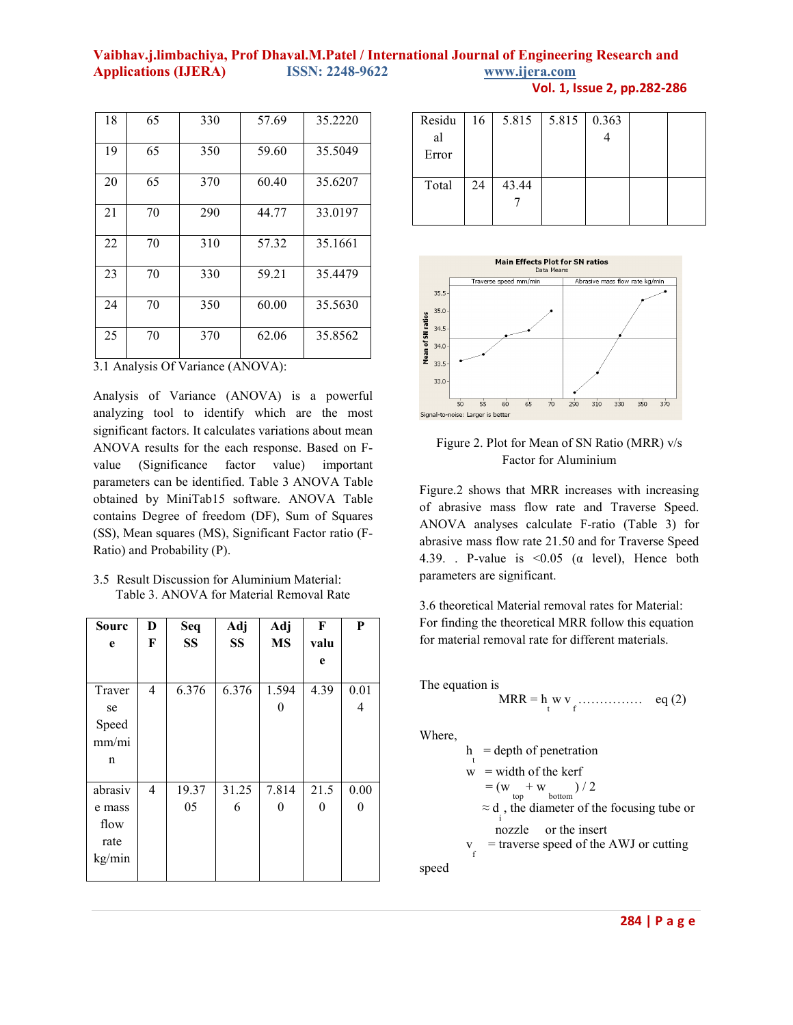## **Vaibhav.j.limbachiya, Prof Dhaval.M.Patel / International Journal of Engineering Research and Applications (IJERA) ISSN: 2248-9622 www.ijera.com**

| Vol. 1, Issue 2, pp.282-286 |  |  |  |  |  |
|-----------------------------|--|--|--|--|--|
|-----------------------------|--|--|--|--|--|

| 18 | 65 | 330 | 57.69 | 35.2220 |
|----|----|-----|-------|---------|
| 19 | 65 | 350 | 59.60 | 35.5049 |
| 20 | 65 | 370 | 60.40 | 35.6207 |
| 21 | 70 | 290 | 44.77 | 33.0197 |
| 22 | 70 | 310 | 57.32 | 35.1661 |
| 23 | 70 | 330 | 59.21 | 35.4479 |
| 24 | 70 | 350 | 60.00 | 35.5630 |
| 25 | 70 | 370 | 62.06 | 35.8562 |

3.1 Analysis Of Variance (ANOVA):

Analysis of Variance (ANOVA) is a powerful analyzing tool to identify which are the most significant factors. It calculates variations about mean ANOVA results for the each response. Based on Fvalue (Significance factor value) important parameters can be identified. Table 3 ANOVA Table obtained by MiniTab15 software. ANOVA Table contains Degree of freedom (DF), Sum of Squares (SS), Mean squares (MS), Significant Factor ratio (F-Ratio) and Probability (P).

3.5 Result Discussion for Aluminium Material: Table 3. ANOVA for Material Removal Rate

| Sourc   | D | Seq       | Adj       | Adj       | F    | $\bf P$  |
|---------|---|-----------|-----------|-----------|------|----------|
| e       | F | <b>SS</b> | <b>SS</b> | <b>MS</b> | valu |          |
|         |   |           |           |           | e    |          |
|         |   |           |           |           |      |          |
| Traver  | 4 | 6.376     | 6.376     | 1.594     | 4.39 | 0.01     |
| se      |   |           |           | $\theta$  |      | 4        |
| Speed   |   |           |           |           |      |          |
| mm/mi   |   |           |           |           |      |          |
| n       |   |           |           |           |      |          |
|         |   |           |           |           |      |          |
| abrasiv | 4 | 19.37     | 31.25     | 7.814     | 21.5 | 0.00     |
| e mass  |   | 05        | 6         | $\theta$  | 0    | $\theta$ |
| flow    |   |           |           |           |      |          |
| rate    |   |           |           |           |      |          |
| kg/min  |   |           |           |           |      |          |
|         |   |           |           |           |      |          |

| Residu | 16 | 5.815 | 5.815 | 0.363 |  |
|--------|----|-------|-------|-------|--|
| al     |    |       |       |       |  |
| Error  |    |       |       |       |  |
|        |    |       |       |       |  |
| Total  | 24 | 43.44 |       |       |  |
|        |    |       |       |       |  |
|        |    |       |       |       |  |



Figure 2. Plot for Mean of SN Ratio (MRR) v/s Factor for Aluminium

Figure.2 shows that MRR increases with increasing of abrasive mass flow rate and Traverse Speed. ANOVA analyses calculate F-ratio (Table 3) for abrasive mass flow rate 21.50 and for Traverse Speed 4.39. . P-value is <0.05 (α level), Hence both parameters are significant.

3.6 theoretical Material removal rates for Material: For finding the theoretical MRR follow this equation for material removal rate for different materials.

The equation is 
$$
MRR = h_W v_f
$$
............ eq (2)

Where,

h = depth of penetration  
\n
$$
w = width of the kerf
$$
  
\n $= (w + w)/2$   
\n $\approx d$ , the diameter of the focusing tube or  
\nnozzle or the insert  
\n $v_f$  = traverse speed of the AWJ or cutting

speed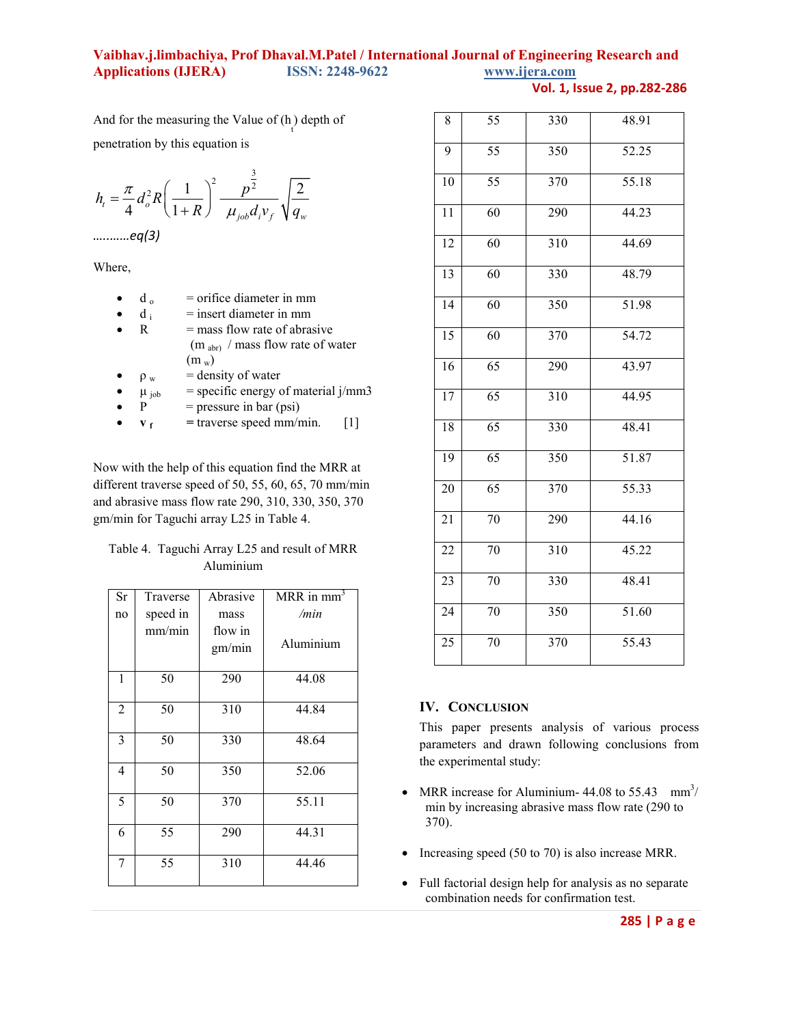### **Vaibhav.j.limbachiya, Prof Dhaval.M.Patel / International Journal of Engineering Research and Applications (IJERA) ISSN: 2248-9622 www.ijera.com**

**Vol. 1, Issue 2, pp.282-286**

And for the measuring the Value of  $(h)$  depth of penetration by this equation is

$$
h_{t} = \frac{\pi}{4} d_{o}^{2} R \left( \frac{1}{1+R} \right)^{2} \frac{p^{\frac{3}{2}}}{\mu_{job} d_{i} v_{f}} \sqrt{\frac{2}{q_{w}}}
$$

*…..……eq(3)* 

Where,

- d<sub>o</sub> = orifice diameter in mm
- $d_i$ = insert diameter in mm
- $\mathbb{R}$  = mass flow rate of abrasive  $(m_{abr})$  / mass flow rate of water  $(m_w)$
- $\rho_w$  = density of water
- $\mu_{job}$  = specific energy of material j/mm3<br>  $P$  = pressure in bar (psi)
- $P = pressure in bar (psi)$
- $\bullet$  **v f**  $=$  traverse speed mm/min.  $[1]$

Now with the help of this equation find the MRR at different traverse speed of 50, 55, 60, 65, 70 mm/min and abrasive mass flow rate 290, 310, 330, 350, 370 gm/min for Taguchi array L25 in Table 4.

| Table 4. Taguchi Array L25 and result of MRR |
|----------------------------------------------|
| Aluminium                                    |

| Sr | Traverse | Abrasive          | MRR in mm |
|----|----------|-------------------|-----------|
| no | speed in | mass              | /min      |
|    | mm/min   | flow in<br>gm/min | Aluminium |
| 1  | 50       | 290               | 44.08     |
| 2  | 50       | 310               | 44.84     |
| 3  | 50       | 330               | 48.64     |
| 4  | 50       | 350               | 52.06     |
| 5  | 50       | 370               | 55.11     |
| 6  | 55       | 290               | 44.31     |
| 7  | 55       | 310               | 44.46     |

| 8               | 55              | 330              | 48.91 |
|-----------------|-----------------|------------------|-------|
| 9               | $\overline{55}$ | 350              | 52.25 |
| 10              | $\overline{55}$ | 370              | 55.18 |
| 11              | $\overline{60}$ | 290              | 44.23 |
| 12              | 60              | 310              | 44.69 |
| $\overline{13}$ | $\overline{60}$ | 330              | 48.79 |
| 14              | 60              | 350              | 51.98 |
| $\overline{15}$ | $\overline{60}$ | 370              | 54.72 |
| 16              | $\overline{65}$ | 290              | 43.97 |
| 17              | 65              | $\overline{310}$ | 44.95 |
| 18              | 65              | 330              | 48.41 |
| 19              | $\overline{65}$ | 350              | 51.87 |
| 20              | 65              | 370              | 55.33 |
| 21              | 70              | 290              | 44.16 |
| 22              | 70              | 310              | 45.22 |
| 23              | 70              | 330              | 48.41 |
| $\overline{24}$ | $\overline{70}$ | 350              | 51.60 |
| 25              | 70              | 370              | 55.43 |

#### **IV. CONCLUSION**

This paper presents analysis of various process parameters and drawn following conclusions from the experimental study:

- MRR increase for Aluminium-  $44.08$  to  $55.43$  mm<sup>3</sup>/ min by increasing abrasive mass flow rate (290 to 370).
- Increasing speed (50 to 70) is also increase MRR.
- Full factorial design help for analysis as no separate combination needs for confirmation test.